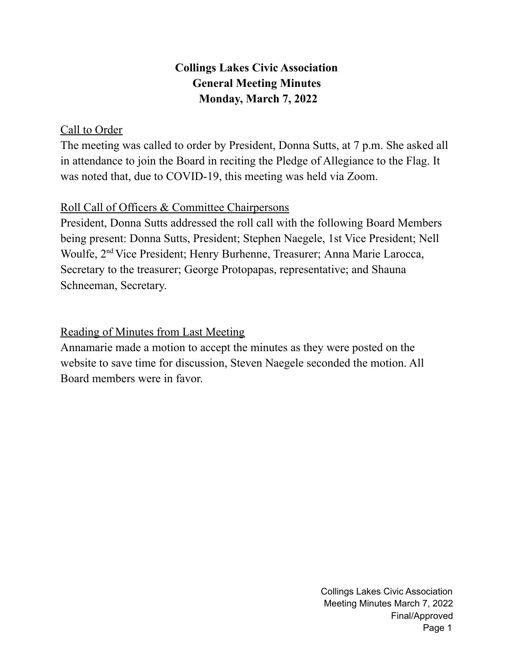# **Collings Lakes Civic Association General Meeting Minutes Monday, March 7, 2022**

### Call to Order

The meeting was called to order by President, Donna Sutts, at 7 p.m. She asked all in attendance to join the Board in reciting the Pledge of Allegiance to the Flag. It was noted that, due to COVID-19, this meeting was held via Zoom.

## Roll Call of Officers & Committee Chairpersons

President, Donna Sutts addressed the roll call with the following Board Members being present: Donna Sutts, President; Stephen Naegele, 1st Vice President; Nell Woulfe, 2<sup>nd</sup> Vice President; Henry Burhenne, Treasurer; Anna Marie Larocca, Secretary to the treasurer; George Protopapas, representative; and Shauna Schneeman, Secretary.

## Reading of Minutes from Last Meeting

Annamarie made a motion to accept the minutes as they were posted on the website to save time for discussion, Steven Naegele seconded the motion. All Board members were in favor.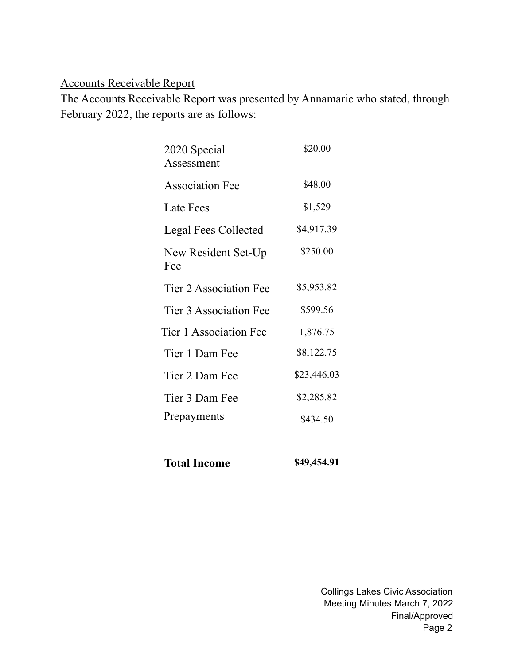## Accounts Receivable Report

The Accounts Receivable Report was presented by Annamarie who stated, through February 2022, the reports are as follows:

| 2020 Special<br>Assessment  | \$20.00     |
|-----------------------------|-------------|
| <b>Association Fee</b>      | \$48.00     |
| Late Fees                   | \$1,529     |
| <b>Legal Fees Collected</b> | \$4,917.39  |
| New Resident Set-Up<br>Fee  | \$250.00    |
| Tier 2 Association Fee      | \$5,953.82  |
| Tier 3 Association Fee      | \$599.56    |
| Tier 1 Association Fee      | 1,876.75    |
| Tier 1 Dam Fee              | \$8,122.75  |
| Tier 2 Dam Fee              | \$23,446.03 |
| Tier 3 Dam Fee              | \$2,285.82  |
| Prepayments                 | \$434.50    |
|                             |             |

| \$49,454.91<br><b>Total Income</b> |  |
|------------------------------------|--|
|------------------------------------|--|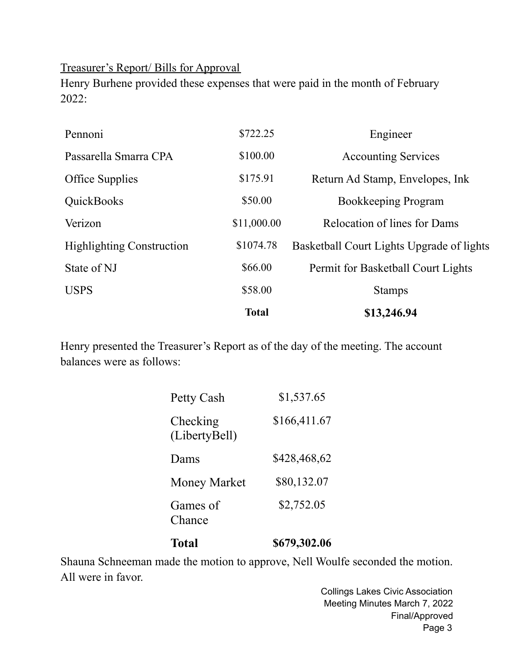Treasurer's Report/ Bills for Approval

Henry Burhene provided these expenses that were paid in the month of February 2022:

|                                  | <b>Total</b> | \$13,246.94                               |  |
|----------------------------------|--------------|-------------------------------------------|--|
| <b>USPS</b>                      | \$58.00      | <b>Stamps</b>                             |  |
| State of NJ                      | \$66.00      | Permit for Basketball Court Lights        |  |
| <b>Highlighting Construction</b> | \$1074.78    | Basketball Court Lights Upgrade of lights |  |
| Verizon                          | \$11,000.00  | Relocation of lines for Dams              |  |
| QuickBooks                       | \$50.00      | Bookkeeping Program                       |  |
| <b>Office Supplies</b>           | \$175.91     | Return Ad Stamp, Envelopes, Ink           |  |
| Passarella Smarra CPA            | \$100.00     | <b>Accounting Services</b>                |  |
| Pennoni                          | \$722.25     | Engineer                                  |  |

Henry presented the Treasurer's Report as of the day of the meeting. The account balances were as follows:

| <b>Total</b>              | \$679,302.06 |
|---------------------------|--------------|
| Games of<br>Chance        | \$2,752.05   |
| <b>Money Market</b>       | \$80,132.07  |
| Dams                      | \$428,468,62 |
| Checking<br>(LibertyBell) | \$166,411.67 |
| Petty Cash                | \$1,537.65   |

Shauna Schneeman made the motion to approve, Nell Woulfe seconded the motion. All were in favor.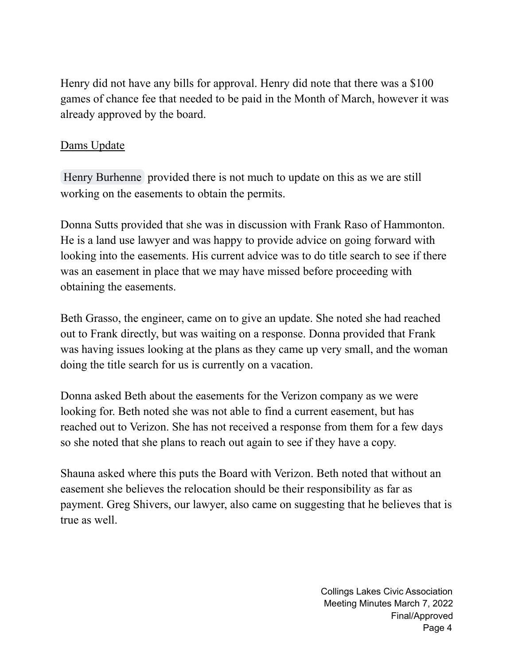Henry did not have any bills for approval. Henry did note that there was a \$100 games of chance fee that needed to be paid in the Month of March, however it was already approved by the board.

#### Dams Update

Henry [Burhenne](mailto:hburhenne@collingslakes.org) provided there is not much to update on this as we are still working on the easements to obtain the permits.

Donna Sutts provided that she was in discussion with Frank Raso of Hammonton. He is a land use lawyer and was happy to provide advice on going forward with looking into the easements. His current advice was to do title search to see if there was an easement in place that we may have missed before proceeding with obtaining the easements.

Beth Grasso, the engineer, came on to give an update. She noted she had reached out to Frank directly, but was waiting on a response. Donna provided that Frank was having issues looking at the plans as they came up very small, and the woman doing the title search for us is currently on a vacation.

Donna asked Beth about the easements for the Verizon company as we were looking for. Beth noted she was not able to find a current easement, but has reached out to Verizon. She has not received a response from them for a few days so she noted that she plans to reach out again to see if they have a copy.

Shauna asked where this puts the Board with Verizon. Beth noted that without an easement she believes the relocation should be their responsibility as far as payment. Greg Shivers, our lawyer, also came on suggesting that he believes that is true as well.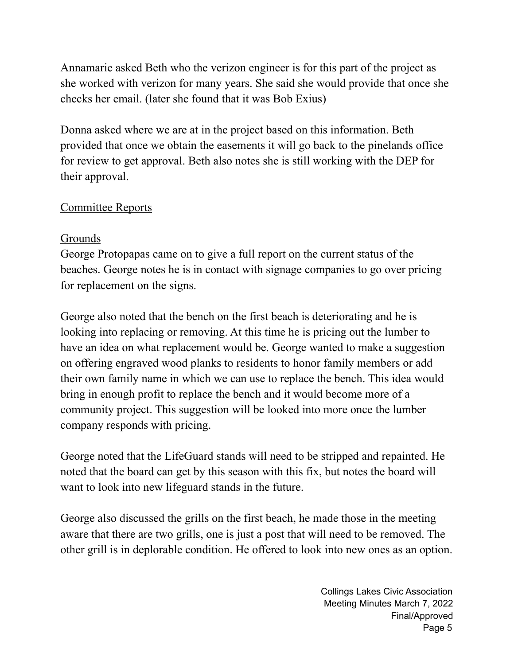Annamarie asked Beth who the verizon engineer is for this part of the project as she worked with verizon for many years. She said she would provide that once she checks her email. (later she found that it was Bob Exius)

Donna asked where we are at in the project based on this information. Beth provided that once we obtain the easements it will go back to the pinelands office for review to get approval. Beth also notes she is still working with the DEP for their approval.

## Committee Reports

## Grounds

George Protopapas came on to give a full report on the current status of the beaches. George notes he is in contact with signage companies to go over pricing for replacement on the signs.

George also noted that the bench on the first beach is deteriorating and he is looking into replacing or removing. At this time he is pricing out the lumber to have an idea on what replacement would be. George wanted to make a suggestion on offering engraved wood planks to residents to honor family members or add their own family name in which we can use to replace the bench. This idea would bring in enough profit to replace the bench and it would become more of a community project. This suggestion will be looked into more once the lumber company responds with pricing.

George noted that the LifeGuard stands will need to be stripped and repainted. He noted that the board can get by this season with this fix, but notes the board will want to look into new lifeguard stands in the future.

George also discussed the grills on the first beach, he made those in the meeting aware that there are two grills, one is just a post that will need to be removed. The other grill is in deplorable condition. He offered to look into new ones as an option.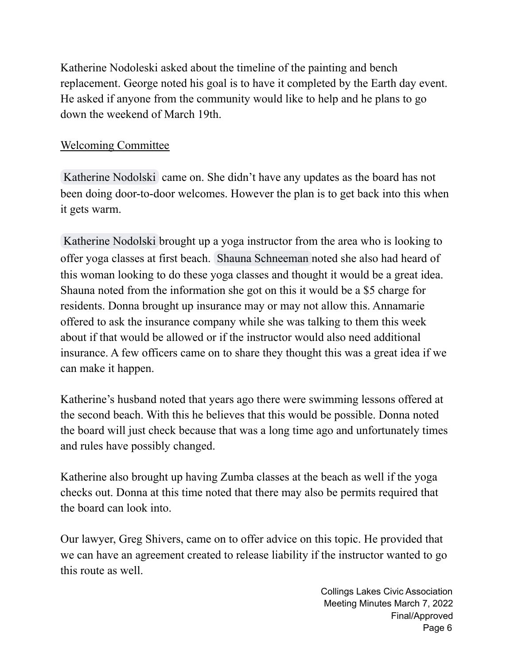Katherine Nodoleski asked about the timeline of the painting and bench replacement. George noted his goal is to have it completed by the Earth day event. He asked if anyone from the community would like to help and he plans to go down the weekend of March 19th.

### Welcoming Committee

[Katherine](mailto:Plantikat@gmail.com) Nodolski came on. She didn't have any updates as the board has not been doing door-to-door welcomes. However the plan is to get back into this when it gets warm.

[Katherine](mailto:Plantikat@gmail.com) Nodolski brought up a yoga instructor from the area who is looking to offer yoga classes at first beach. Shauna [Schneeman](mailto:shaunas@collingslakes.org) noted she also had heard of this woman looking to do these yoga classes and thought it would be a great idea. Shauna noted from the information she got on this it would be a \$5 charge for residents. Donna brought up insurance may or may not allow this. Annamarie offered to ask the insurance company while she was talking to them this week about if that would be allowed or if the instructor would also need additional insurance. A few officers came on to share they thought this was a great idea if we can make it happen.

Katherine's husband noted that years ago there were swimming lessons offered at the second beach. With this he believes that this would be possible. Donna noted the board will just check because that was a long time ago and unfortunately times and rules have possibly changed.

Katherine also brought up having Zumba classes at the beach as well if the yoga checks out. Donna at this time noted that there may also be permits required that the board can look into.

Our lawyer, Greg Shivers, came on to offer advice on this topic. He provided that we can have an agreement created to release liability if the instructor wanted to go this route as well.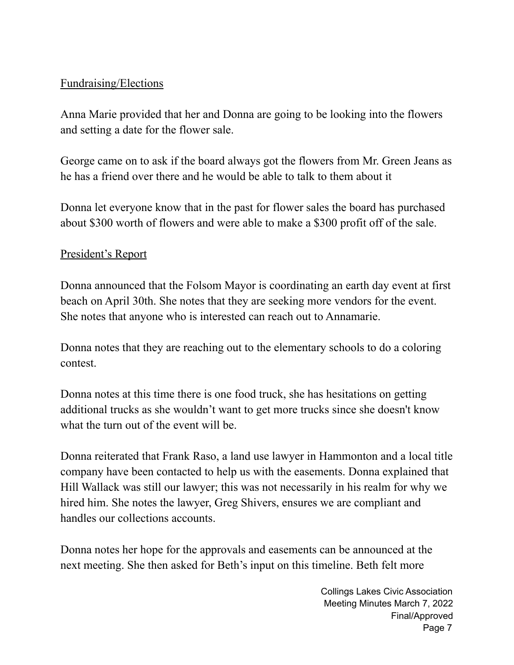## Fundraising/Elections

Anna Marie provided that her and Donna are going to be looking into the flowers and setting a date for the flower sale.

George came on to ask if the board always got the flowers from Mr. Green Jeans as he has a friend over there and he would be able to talk to them about it

Donna let everyone know that in the past for flower sales the board has purchased about \$300 worth of flowers and were able to make a \$300 profit off of the sale.

### President's Report

Donna announced that the Folsom Mayor is coordinating an earth day event at first beach on April 30th. She notes that they are seeking more vendors for the event. She notes that anyone who is interested can reach out to Annamarie.

Donna notes that they are reaching out to the elementary schools to do a coloring contest.

Donna notes at this time there is one food truck, she has hesitations on getting additional trucks as she wouldn't want to get more trucks since she doesn't know what the turn out of the event will be.

Donna reiterated that Frank Raso, a land use lawyer in Hammonton and a local title company have been contacted to help us with the easements. Donna explained that Hill Wallack was still our lawyer; this was not necessarily in his realm for why we hired him. She notes the lawyer, Greg Shivers, ensures we are compliant and handles our collections accounts.

Donna notes her hope for the approvals and easements can be announced at the next meeting. She then asked for Beth's input on this timeline. Beth felt more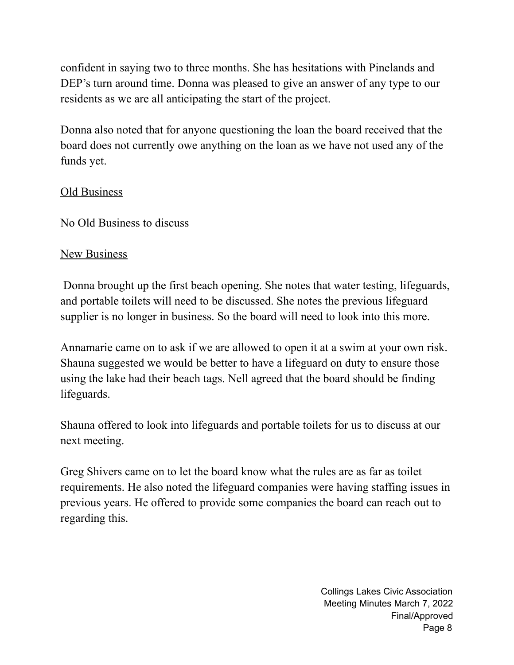confident in saying two to three months. She has hesitations with Pinelands and DEP's turn around time. Donna was pleased to give an answer of any type to our residents as we are all anticipating the start of the project.

Donna also noted that for anyone questioning the loan the board received that the board does not currently owe anything on the loan as we have not used any of the funds yet.

## Old Business

No Old Business to discuss

## New Business

Donna brought up the first beach opening. She notes that water testing, lifeguards, and portable toilets will need to be discussed. She notes the previous lifeguard supplier is no longer in business. So the board will need to look into this more.

Annamarie came on to ask if we are allowed to open it at a swim at your own risk. Shauna suggested we would be better to have a lifeguard on duty to ensure those using the lake had their beach tags. Nell agreed that the board should be finding lifeguards.

Shauna offered to look into lifeguards and portable toilets for us to discuss at our next meeting.

Greg Shivers came on to let the board know what the rules are as far as toilet requirements. He also noted the lifeguard companies were having staffing issues in previous years. He offered to provide some companies the board can reach out to regarding this.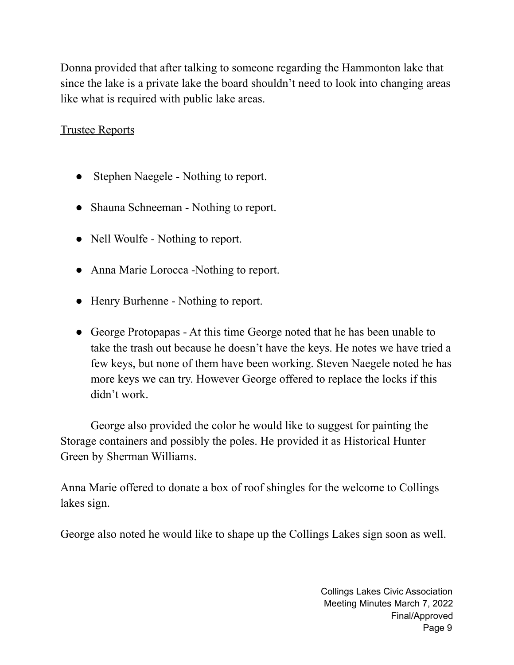Donna provided that after talking to someone regarding the Hammonton lake that since the lake is a private lake the board shouldn't need to look into changing areas like what is required with public lake areas.

## Trustee Reports

- Stephen Naegele Nothing to report.
- Shauna Schneeman Nothing to report.
- Nell Woulfe Nothing to report.
- Anna Marie Lorocca -Nothing to report.
- Henry Burhenne Nothing to report.
- George Protopapas At this time George noted that he has been unable to take the trash out because he doesn't have the keys. He notes we have tried a few keys, but none of them have been working. Steven Naegele noted he has more keys we can try. However George offered to replace the locks if this didn't work.

George also provided the color he would like to suggest for painting the Storage containers and possibly the poles. He provided it as Historical Hunter Green by Sherman Williams.

Anna Marie offered to donate a box of roof shingles for the welcome to Collings lakes sign.

George also noted he would like to shape up the Collings Lakes sign soon as well.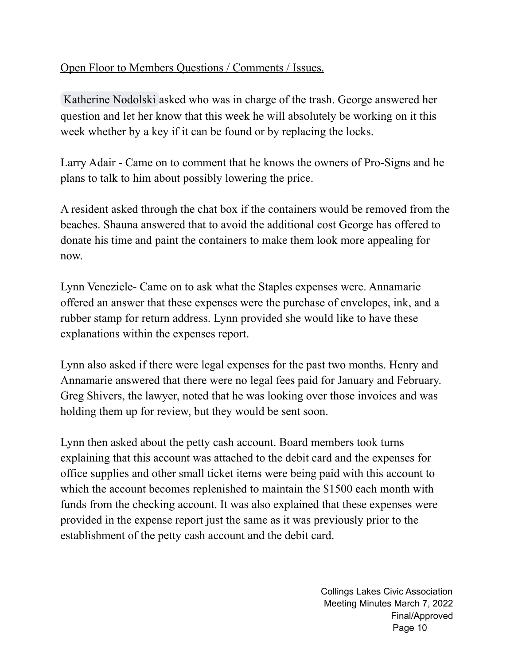## Open Floor to Members Questions / Comments / Issues.

[Katherine](mailto:Plantikat@gmail.com) Nodolski asked who was in charge of the trash. George answered her question and let her know that this week he will absolutely be working on it this week whether by a key if it can be found or by replacing the locks.

Larry Adair - Came on to comment that he knows the owners of Pro-Signs and he plans to talk to him about possibly lowering the price.

A resident asked through the chat box if the containers would be removed from the beaches. Shauna answered that to avoid the additional cost George has offered to donate his time and paint the containers to make them look more appealing for now.

Lynn Veneziele- Came on to ask what the Staples expenses were. Annamarie offered an answer that these expenses were the purchase of envelopes, ink, and a rubber stamp for return address. Lynn provided she would like to have these explanations within the expenses report.

Lynn also asked if there were legal expenses for the past two months. Henry and Annamarie answered that there were no legal fees paid for January and February. Greg Shivers, the lawyer, noted that he was looking over those invoices and was holding them up for review, but they would be sent soon.

Lynn then asked about the petty cash account. Board members took turns explaining that this account was attached to the debit card and the expenses for office supplies and other small ticket items were being paid with this account to which the account becomes replenished to maintain the \$1500 each month with funds from the checking account. It was also explained that these expenses were provided in the expense report just the same as it was previously prior to the establishment of the petty cash account and the debit card.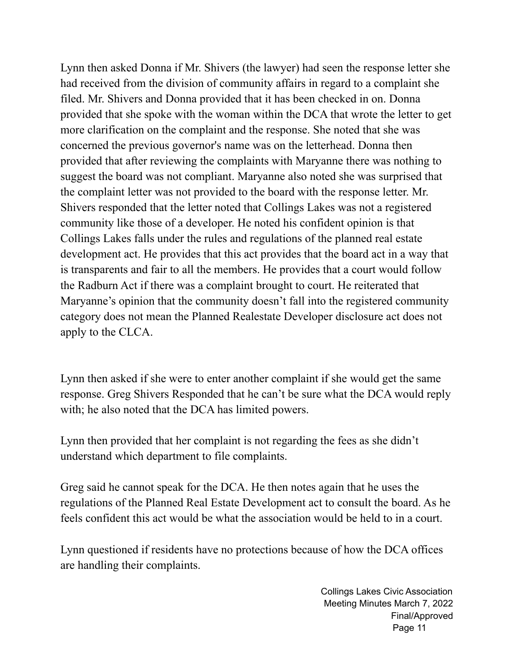Lynn then asked Donna if Mr. Shivers (the lawyer) had seen the response letter she had received from the division of community affairs in regard to a complaint she filed. Mr. Shivers and Donna provided that it has been checked in on. Donna provided that she spoke with the woman within the DCA that wrote the letter to get more clarification on the complaint and the response. She noted that she was concerned the previous governor's name was on the letterhead. Donna then provided that after reviewing the complaints with Maryanne there was nothing to suggest the board was not compliant. Maryanne also noted she was surprised that the complaint letter was not provided to the board with the response letter. Mr. Shivers responded that the letter noted that Collings Lakes was not a registered community like those of a developer. He noted his confident opinion is that Collings Lakes falls under the rules and regulations of the planned real estate development act. He provides that this act provides that the board act in a way that is transparents and fair to all the members. He provides that a court would follow the Radburn Act if there was a complaint brought to court. He reiterated that Maryanne's opinion that the community doesn't fall into the registered community category does not mean the Planned Realestate Developer disclosure act does not apply to the CLCA.

Lynn then asked if she were to enter another complaint if she would get the same response. Greg Shivers Responded that he can't be sure what the DCA would reply with; he also noted that the DCA has limited powers.

Lynn then provided that her complaint is not regarding the fees as she didn't understand which department to file complaints.

Greg said he cannot speak for the DCA. He then notes again that he uses the regulations of the Planned Real Estate Development act to consult the board. As he feels confident this act would be what the association would be held to in a court.

Lynn questioned if residents have no protections because of how the DCA offices are handling their complaints.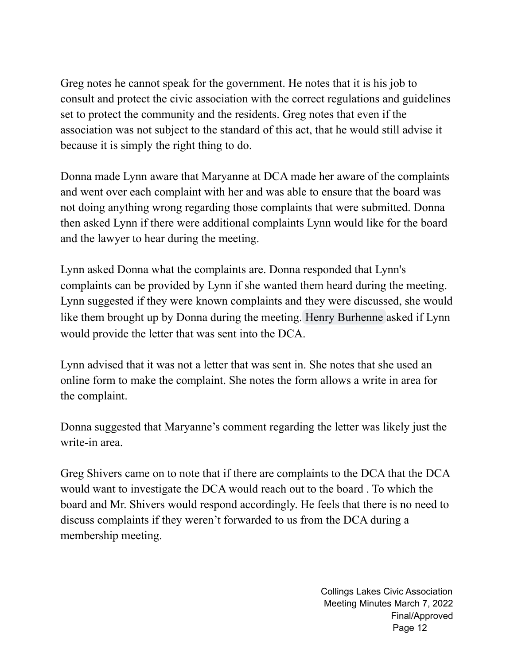Greg notes he cannot speak for the government. He notes that it is his job to consult and protect the civic association with the correct regulations and guidelines set to protect the community and the residents. Greg notes that even if the association was not subject to the standard of this act, that he would still advise it because it is simply the right thing to do.

Donna made Lynn aware that Maryanne at DCA made her aware of the complaints and went over each complaint with her and was able to ensure that the board was not doing anything wrong regarding those complaints that were submitted. Donna then asked Lynn if there were additional complaints Lynn would like for the board and the lawyer to hear during the meeting.

Lynn asked Donna what the complaints are. Donna responded that Lynn's complaints can be provided by Lynn if she wanted them heard during the meeting. Lynn suggested if they were known complaints and they were discussed, she would like them brought up by Donna during the meeting. Henry [Burhenne](mailto:hburhenne@collingslakes.org) asked if Lynn would provide the letter that was sent into the DCA.

Lynn advised that it was not a letter that was sent in. She notes that she used an online form to make the complaint. She notes the form allows a write in area for the complaint.

Donna suggested that Maryanne's comment regarding the letter was likely just the write-in area.

Greg Shivers came on to note that if there are complaints to the DCA that the DCA would want to investigate the DCA would reach out to the board . To which the board and Mr. Shivers would respond accordingly. He feels that there is no need to discuss complaints if they weren't forwarded to us from the DCA during a membership meeting.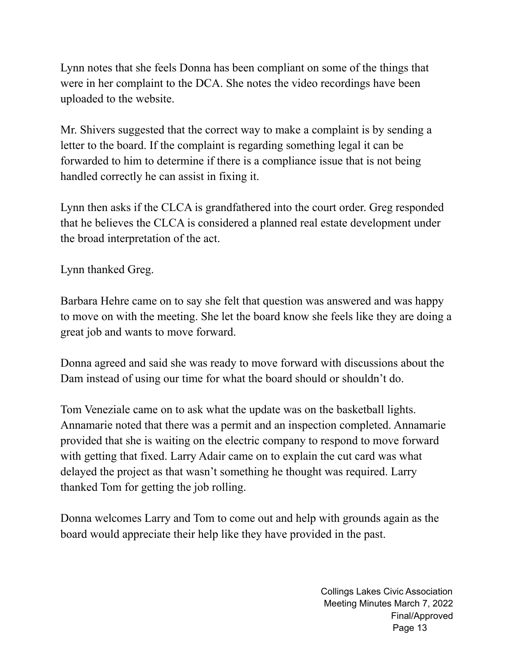Lynn notes that she feels Donna has been compliant on some of the things that were in her complaint to the DCA. She notes the video recordings have been uploaded to the website.

Mr. Shivers suggested that the correct way to make a complaint is by sending a letter to the board. If the complaint is regarding something legal it can be forwarded to him to determine if there is a compliance issue that is not being handled correctly he can assist in fixing it.

Lynn then asks if the CLCA is grandfathered into the court order. Greg responded that he believes the CLCA is considered a planned real estate development under the broad interpretation of the act.

Lynn thanked Greg.

Barbara Hehre came on to say she felt that question was answered and was happy to move on with the meeting. She let the board know she feels like they are doing a great job and wants to move forward.

Donna agreed and said she was ready to move forward with discussions about the Dam instead of using our time for what the board should or shouldn't do.

Tom Veneziale came on to ask what the update was on the basketball lights. Annamarie noted that there was a permit and an inspection completed. Annamarie provided that she is waiting on the electric company to respond to move forward with getting that fixed. Larry Adair came on to explain the cut card was what delayed the project as that wasn't something he thought was required. Larry thanked Tom for getting the job rolling.

Donna welcomes Larry and Tom to come out and help with grounds again as the board would appreciate their help like they have provided in the past.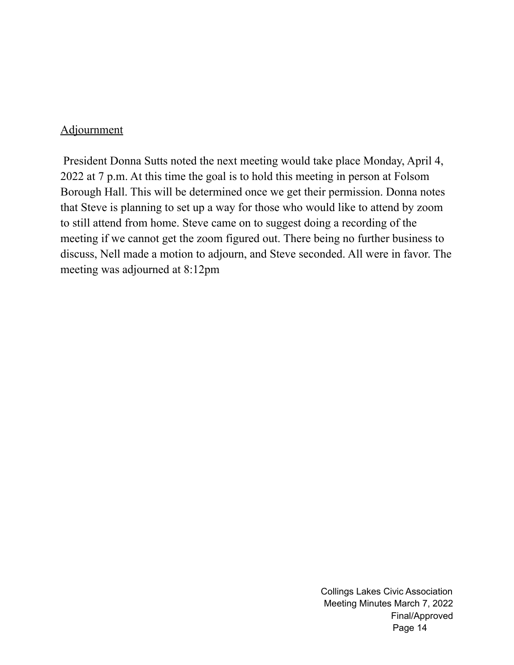#### **Adjournment**

President Donna Sutts noted the next meeting would take place Monday, April 4, 2022 at 7 p.m. At this time the goal is to hold this meeting in person at Folsom Borough Hall. This will be determined once we get their permission. Donna notes that Steve is planning to set up a way for those who would like to attend by zoom to still attend from home. Steve came on to suggest doing a recording of the meeting if we cannot get the zoom figured out. There being no further business to discuss, Nell made a motion to adjourn, and Steve seconded. All were in favor. The meeting was adjourned at 8:12pm